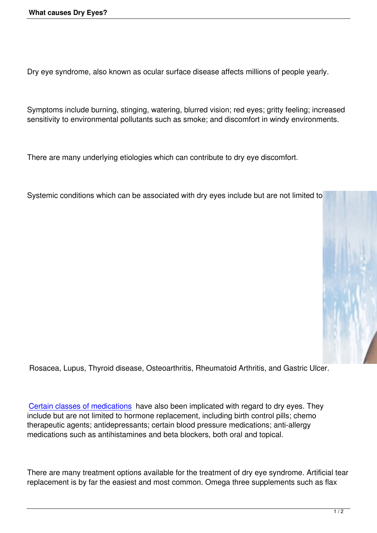Dry eye syndrome, also known as ocular surface disease affects millions of people yearly.

Symptoms include burning, stinging, watering, blurred vision; red eyes; gritty feeling; increased sensitivity to environmental pollutants such as smoke; and discomfort in windy environments.

There are many underlying etiologies which can contribute to dry eye discomfort.

Systemic conditions which can be associated with dry eyes include but are not limited to



Rosacea, Lupus, Thyroid disease, Osteoarthritis, Rheumatoid Arthritis, and Gastric Ulcer.

Certain classes of medications have also been implicated with regard to dry eyes. They include but are not limited to hormone replacement, including birth control pills; chemo therapeutic agents; antidepressants; certain blood pressure medications; anti-allergy [medications such as antihistam](index.php?option=com_content&view=article&id=63:high-risk-meds&catid=34:optic-one&Itemid=88)ines and beta blockers, both oral and topical.

There are many treatment options available for the treatment of dry eye syndrome. Artificial tear replacement is by far the easiest and most common. Omega three supplements such as flax